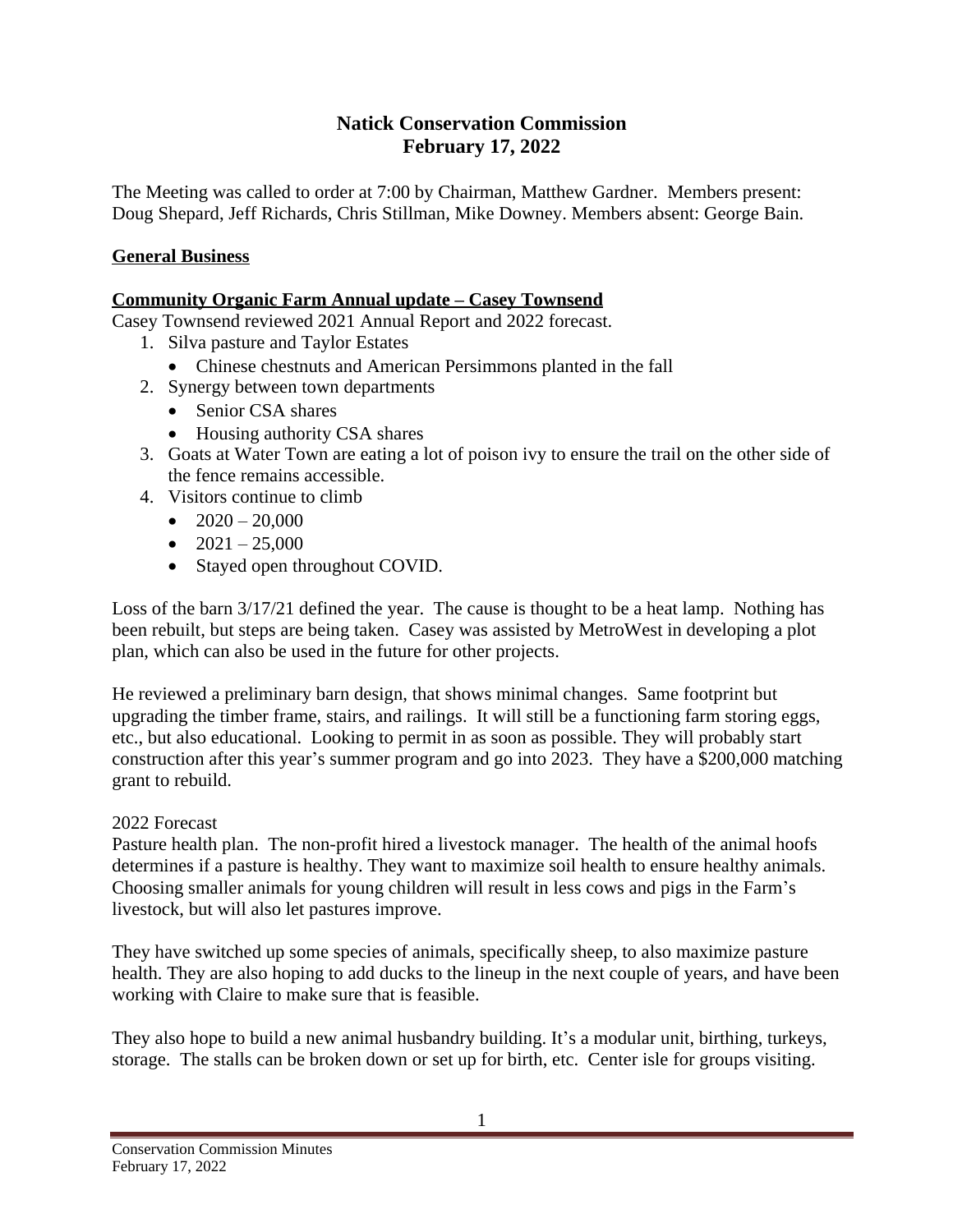## **Natick Conservation Commission February 17, 2022**

The Meeting was called to order at 7:00 by Chairman, Matthew Gardner. Members present: Doug Shepard, Jeff Richards, Chris Stillman, Mike Downey. Members absent: George Bain.

## **General Business**

## **Community Organic Farm Annual update – Casey Townsend**

Casey Townsend reviewed 2021 Annual Report and 2022 forecast.

- 1. Silva pasture and Taylor Estates
	- Chinese chestnuts and American Persimmons planted in the fall
- 2. Synergy between town departments
	- Senior CSA shares
	- Housing authority CSA shares
- 3. Goats at Water Town are eating a lot of poison ivy to ensure the trail on the other side of the fence remains accessible.
- 4. Visitors continue to climb
	- $\bullet$  2020 20,000
	- $\bullet$  2021 25,000
	- Stayed open throughout COVID.

Loss of the barn 3/17/21 defined the year. The cause is thought to be a heat lamp. Nothing has been rebuilt, but steps are being taken. Casey was assisted by MetroWest in developing a plot plan, which can also be used in the future for other projects.

He reviewed a preliminary barn design, that shows minimal changes. Same footprint but upgrading the timber frame, stairs, and railings. It will still be a functioning farm storing eggs, etc., but also educational. Looking to permit in as soon as possible. They will probably start construction after this year's summer program and go into 2023. They have a \$200,000 matching grant to rebuild.

#### 2022 Forecast

Pasture health plan. The non-profit hired a livestock manager. The health of the animal hoofs determines if a pasture is healthy. They want to maximize soil health to ensure healthy animals. Choosing smaller animals for young children will result in less cows and pigs in the Farm's livestock, but will also let pastures improve.

They have switched up some species of animals, specifically sheep, to also maximize pasture health. They are also hoping to add ducks to the lineup in the next couple of years, and have been working with Claire to make sure that is feasible.

They also hope to build a new animal husbandry building. It's a modular unit, birthing, turkeys, storage. The stalls can be broken down or set up for birth, etc. Center isle for groups visiting.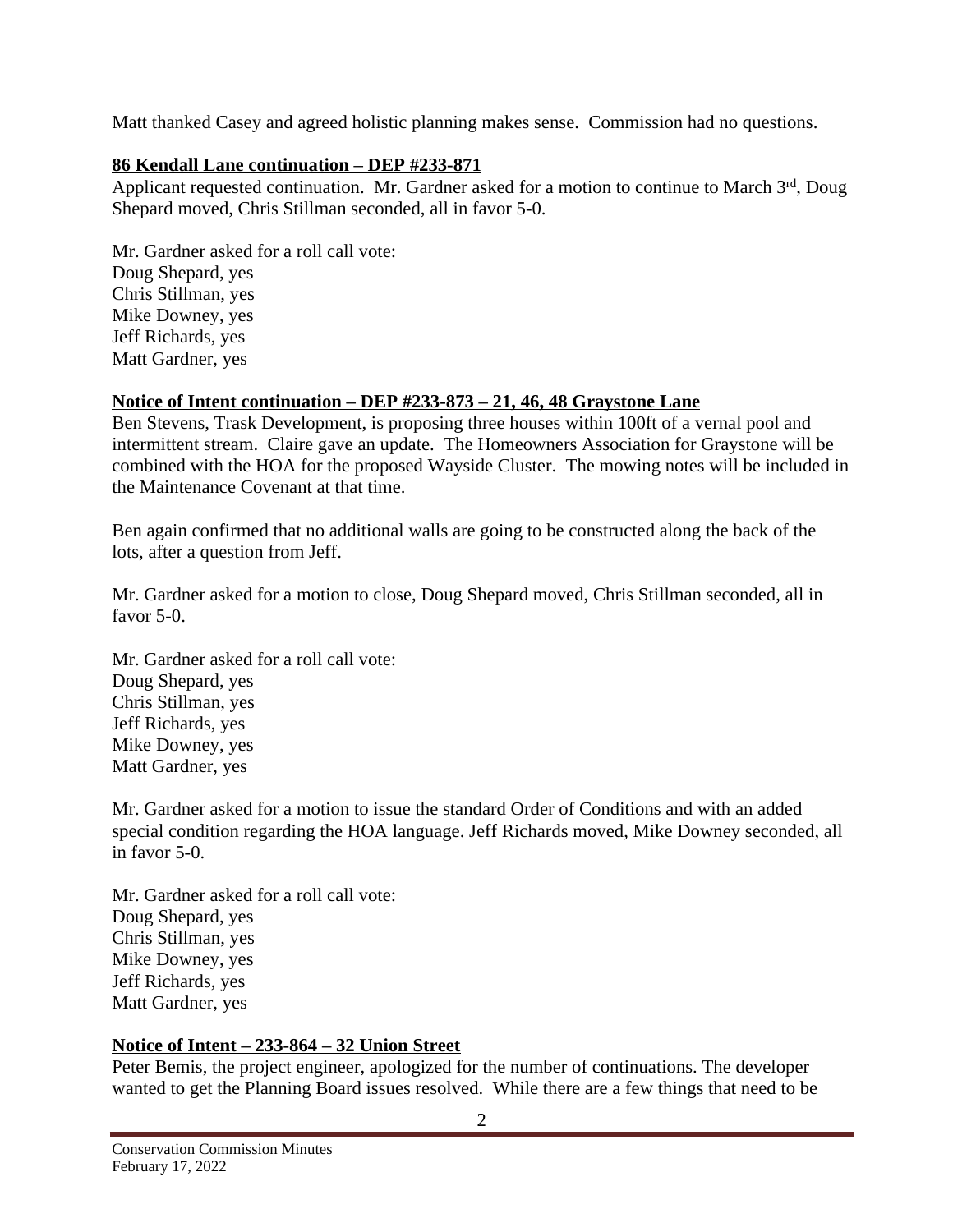Matt thanked Casey and agreed holistic planning makes sense. Commission had no questions.

### **86 Kendall Lane continuation – DEP #233-871**

Applicant requested continuation. Mr. Gardner asked for a motion to continue to March 3rd, Doug Shepard moved, Chris Stillman seconded, all in favor 5-0.

Mr. Gardner asked for a roll call vote: Doug Shepard, yes Chris Stillman, yes Mike Downey, yes Jeff Richards, yes Matt Gardner, yes

## **Notice of Intent continuation – DEP #233-873 – 21, 46, 48 Graystone Lane**

Ben Stevens, Trask Development, is proposing three houses within 100ft of a vernal pool and intermittent stream. Claire gave an update. The Homeowners Association for Graystone will be combined with the HOA for the proposed Wayside Cluster. The mowing notes will be included in the Maintenance Covenant at that time.

Ben again confirmed that no additional walls are going to be constructed along the back of the lots, after a question from Jeff.

Mr. Gardner asked for a motion to close, Doug Shepard moved, Chris Stillman seconded, all in favor 5-0.

Mr. Gardner asked for a roll call vote: Doug Shepard, yes Chris Stillman, yes Jeff Richards, yes Mike Downey, yes Matt Gardner, yes

Mr. Gardner asked for a motion to issue the standard Order of Conditions and with an added special condition regarding the HOA language. Jeff Richards moved, Mike Downey seconded, all in favor 5-0.

Mr. Gardner asked for a roll call vote: Doug Shepard, yes Chris Stillman, yes Mike Downey, yes Jeff Richards, yes Matt Gardner, yes

# **Notice of Intent – 233-864 – 32 Union Street**

Peter Bemis, the project engineer, apologized for the number of continuations. The developer wanted to get the Planning Board issues resolved. While there are a few things that need to be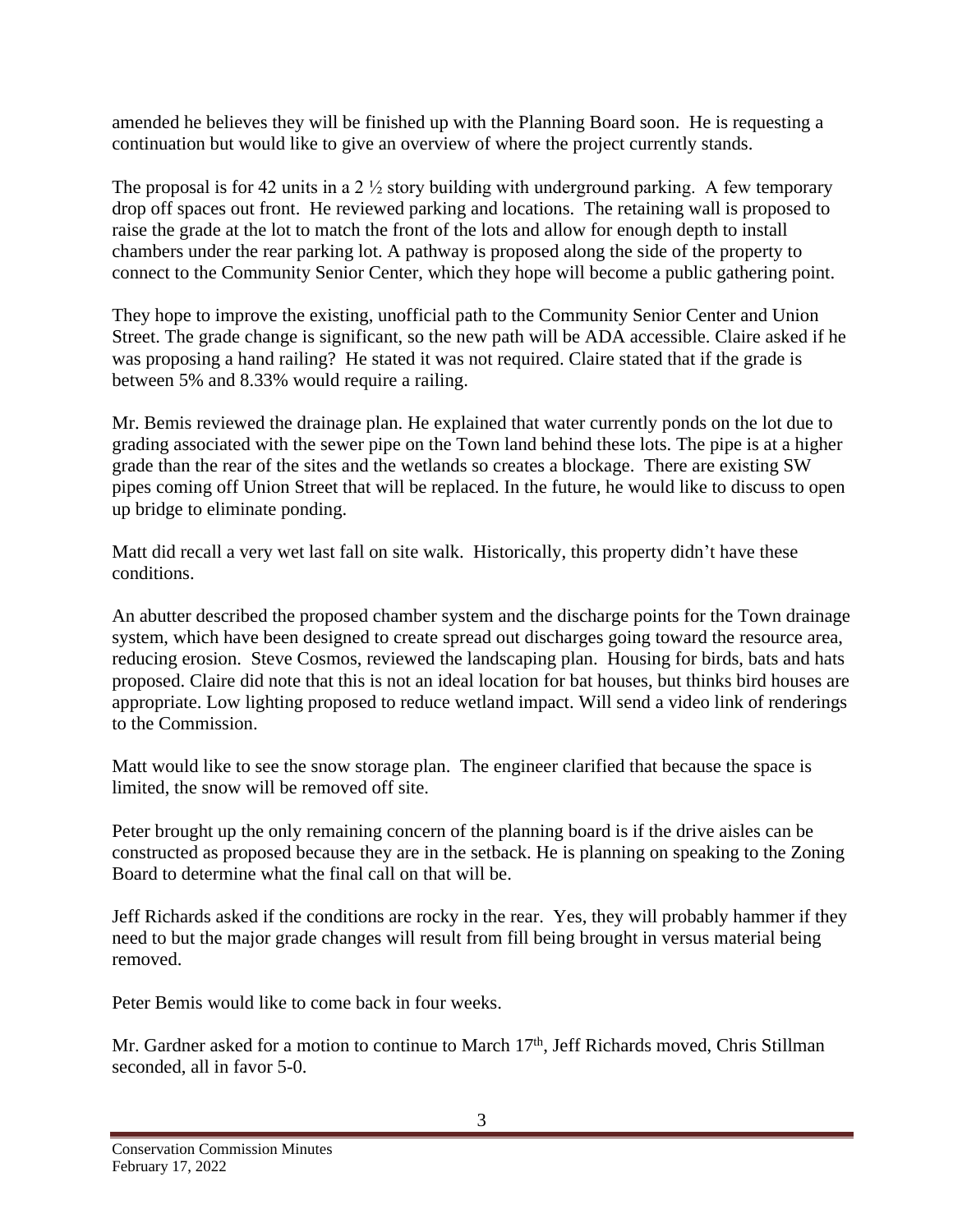amended he believes they will be finished up with the Planning Board soon. He is requesting a continuation but would like to give an overview of where the project currently stands.

The proposal is for 42 units in a  $2\frac{1}{2}$  story building with underground parking. A few temporary drop off spaces out front. He reviewed parking and locations. The retaining wall is proposed to raise the grade at the lot to match the front of the lots and allow for enough depth to install chambers under the rear parking lot. A pathway is proposed along the side of the property to connect to the Community Senior Center, which they hope will become a public gathering point.

They hope to improve the existing, unofficial path to the Community Senior Center and Union Street. The grade change is significant, so the new path will be ADA accessible. Claire asked if he was proposing a hand railing? He stated it was not required. Claire stated that if the grade is between 5% and 8.33% would require a railing.

Mr. Bemis reviewed the drainage plan. He explained that water currently ponds on the lot due to grading associated with the sewer pipe on the Town land behind these lots. The pipe is at a higher grade than the rear of the sites and the wetlands so creates a blockage. There are existing SW pipes coming off Union Street that will be replaced. In the future, he would like to discuss to open up bridge to eliminate ponding.

Matt did recall a very wet last fall on site walk. Historically, this property didn't have these conditions.

An abutter described the proposed chamber system and the discharge points for the Town drainage system, which have been designed to create spread out discharges going toward the resource area, reducing erosion. Steve Cosmos, reviewed the landscaping plan. Housing for birds, bats and hats proposed. Claire did note that this is not an ideal location for bat houses, but thinks bird houses are appropriate. Low lighting proposed to reduce wetland impact. Will send a video link of renderings to the Commission.

Matt would like to see the snow storage plan. The engineer clarified that because the space is limited, the snow will be removed off site.

Peter brought up the only remaining concern of the planning board is if the drive aisles can be constructed as proposed because they are in the setback. He is planning on speaking to the Zoning Board to determine what the final call on that will be.

Jeff Richards asked if the conditions are rocky in the rear. Yes, they will probably hammer if they need to but the major grade changes will result from fill being brought in versus material being removed.

Peter Bemis would like to come back in four weeks.

Mr. Gardner asked for a motion to continue to March 17<sup>th</sup>, Jeff Richards moved, Chris Stillman seconded, all in favor 5-0.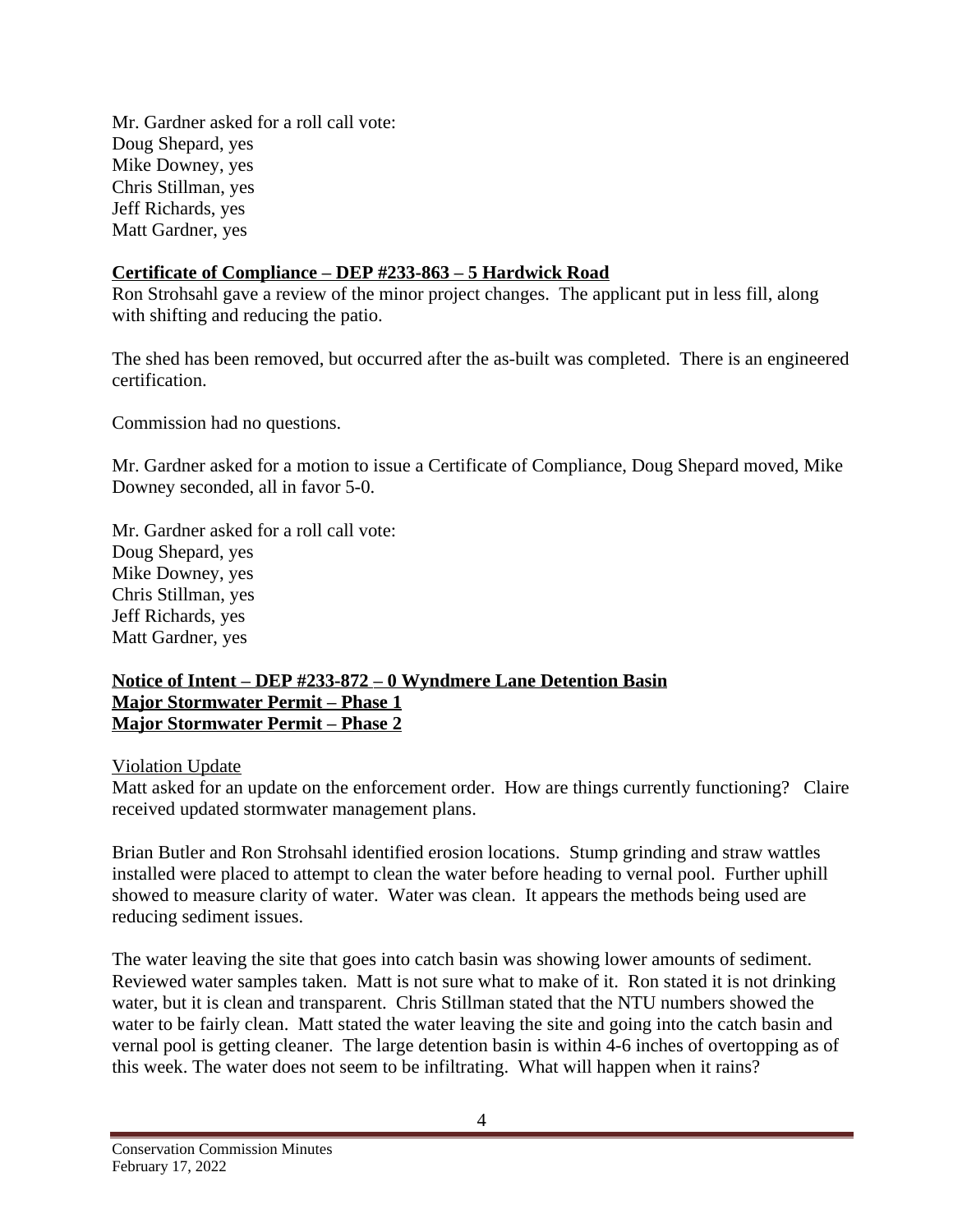Mr. Gardner asked for a roll call vote: Doug Shepard, yes Mike Downey, yes Chris Stillman, yes Jeff Richards, yes Matt Gardner, yes

### **Certificate of Compliance – DEP #233-863 – 5 Hardwick Road**

Ron Strohsahl gave a review of the minor project changes. The applicant put in less fill, along with shifting and reducing the patio.

The shed has been removed, but occurred after the as-built was completed. There is an engineered certification.

Commission had no questions.

Mr. Gardner asked for a motion to issue a Certificate of Compliance, Doug Shepard moved, Mike Downey seconded, all in favor 5-0.

Mr. Gardner asked for a roll call vote: Doug Shepard, yes Mike Downey, yes Chris Stillman, yes Jeff Richards, yes Matt Gardner, yes

#### **Notice of Intent – DEP #233-872 – 0 Wyndmere Lane Detention Basin Major Stormwater Permit – Phase 1 Major Stormwater Permit – Phase 2**

#### Violation Update

Matt asked for an update on the enforcement order. How are things currently functioning? Claire received updated stormwater management plans.

Brian Butler and Ron Strohsahl identified erosion locations. Stump grinding and straw wattles installed were placed to attempt to clean the water before heading to vernal pool. Further uphill showed to measure clarity of water. Water was clean. It appears the methods being used are reducing sediment issues.

The water leaving the site that goes into catch basin was showing lower amounts of sediment. Reviewed water samples taken. Matt is not sure what to make of it. Ron stated it is not drinking water, but it is clean and transparent. Chris Stillman stated that the NTU numbers showed the water to be fairly clean. Matt stated the water leaving the site and going into the catch basin and vernal pool is getting cleaner. The large detention basin is within 4-6 inches of overtopping as of this week. The water does not seem to be infiltrating. What will happen when it rains?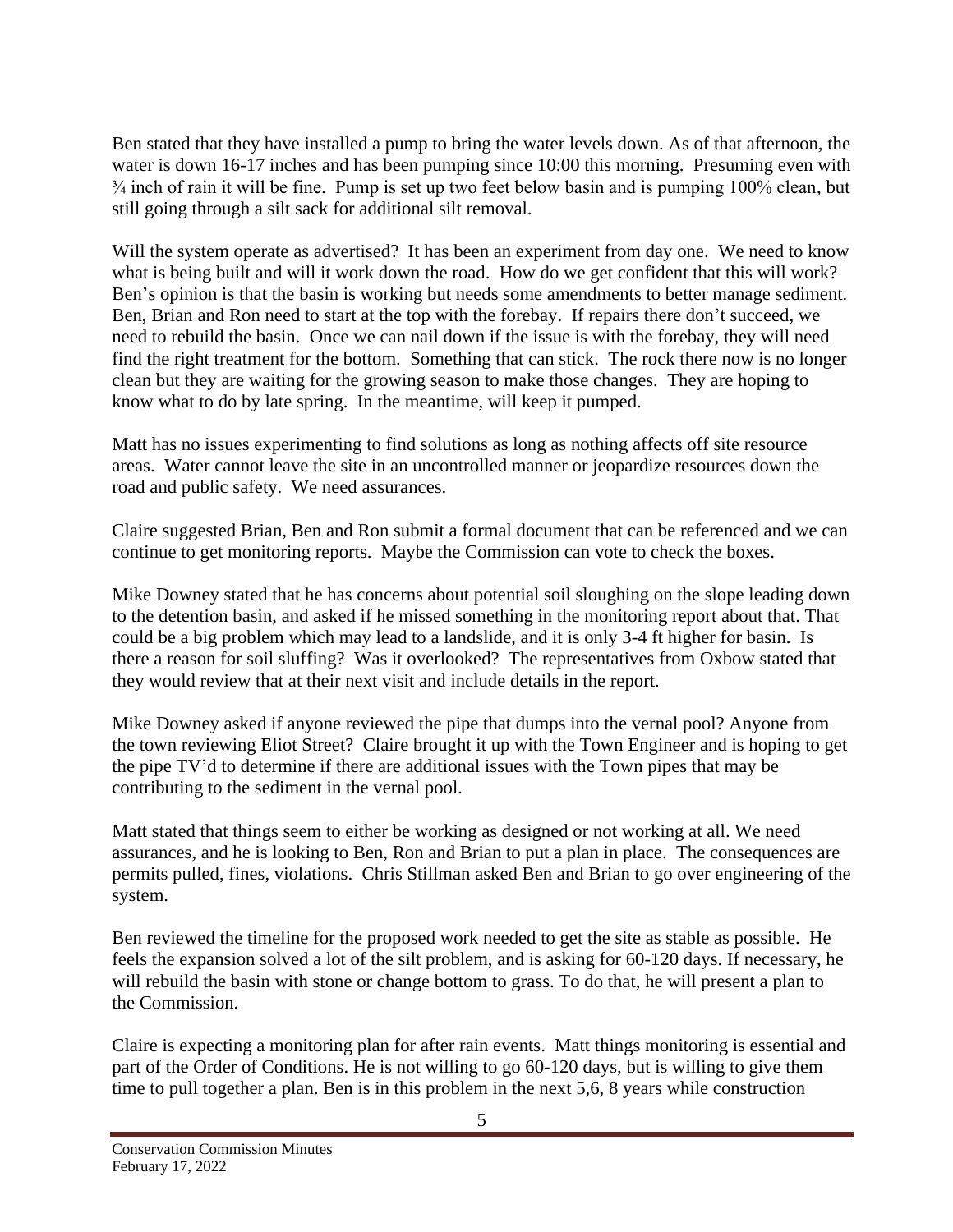Ben stated that they have installed a pump to bring the water levels down. As of that afternoon, the water is down 16-17 inches and has been pumping since 10:00 this morning. Presuming even with ¾ inch of rain it will be fine. Pump is set up two feet below basin and is pumping 100% clean, but still going through a silt sack for additional silt removal.

Will the system operate as advertised? It has been an experiment from day one. We need to know what is being built and will it work down the road. How do we get confident that this will work? Ben's opinion is that the basin is working but needs some amendments to better manage sediment. Ben, Brian and Ron need to start at the top with the forebay. If repairs there don't succeed, we need to rebuild the basin. Once we can nail down if the issue is with the forebay, they will need find the right treatment for the bottom. Something that can stick. The rock there now is no longer clean but they are waiting for the growing season to make those changes. They are hoping to know what to do by late spring. In the meantime, will keep it pumped.

Matt has no issues experimenting to find solutions as long as nothing affects off site resource areas. Water cannot leave the site in an uncontrolled manner or jeopardize resources down the road and public safety. We need assurances.

Claire suggested Brian, Ben and Ron submit a formal document that can be referenced and we can continue to get monitoring reports. Maybe the Commission can vote to check the boxes.

Mike Downey stated that he has concerns about potential soil sloughing on the slope leading down to the detention basin, and asked if he missed something in the monitoring report about that. That could be a big problem which may lead to a landslide, and it is only 3-4 ft higher for basin. Is there a reason for soil sluffing? Was it overlooked? The representatives from Oxbow stated that they would review that at their next visit and include details in the report.

Mike Downey asked if anyone reviewed the pipe that dumps into the vernal pool? Anyone from the town reviewing Eliot Street? Claire brought it up with the Town Engineer and is hoping to get the pipe TV'd to determine if there are additional issues with the Town pipes that may be contributing to the sediment in the vernal pool.

Matt stated that things seem to either be working as designed or not working at all. We need assurances, and he is looking to Ben, Ron and Brian to put a plan in place. The consequences are permits pulled, fines, violations. Chris Stillman asked Ben and Brian to go over engineering of the system.

Ben reviewed the timeline for the proposed work needed to get the site as stable as possible. He feels the expansion solved a lot of the silt problem, and is asking for 60-120 days. If necessary, he will rebuild the basin with stone or change bottom to grass. To do that, he will present a plan to the Commission.

Claire is expecting a monitoring plan for after rain events. Matt things monitoring is essential and part of the Order of Conditions. He is not willing to go 60-120 days, but is willing to give them time to pull together a plan. Ben is in this problem in the next 5,6, 8 years while construction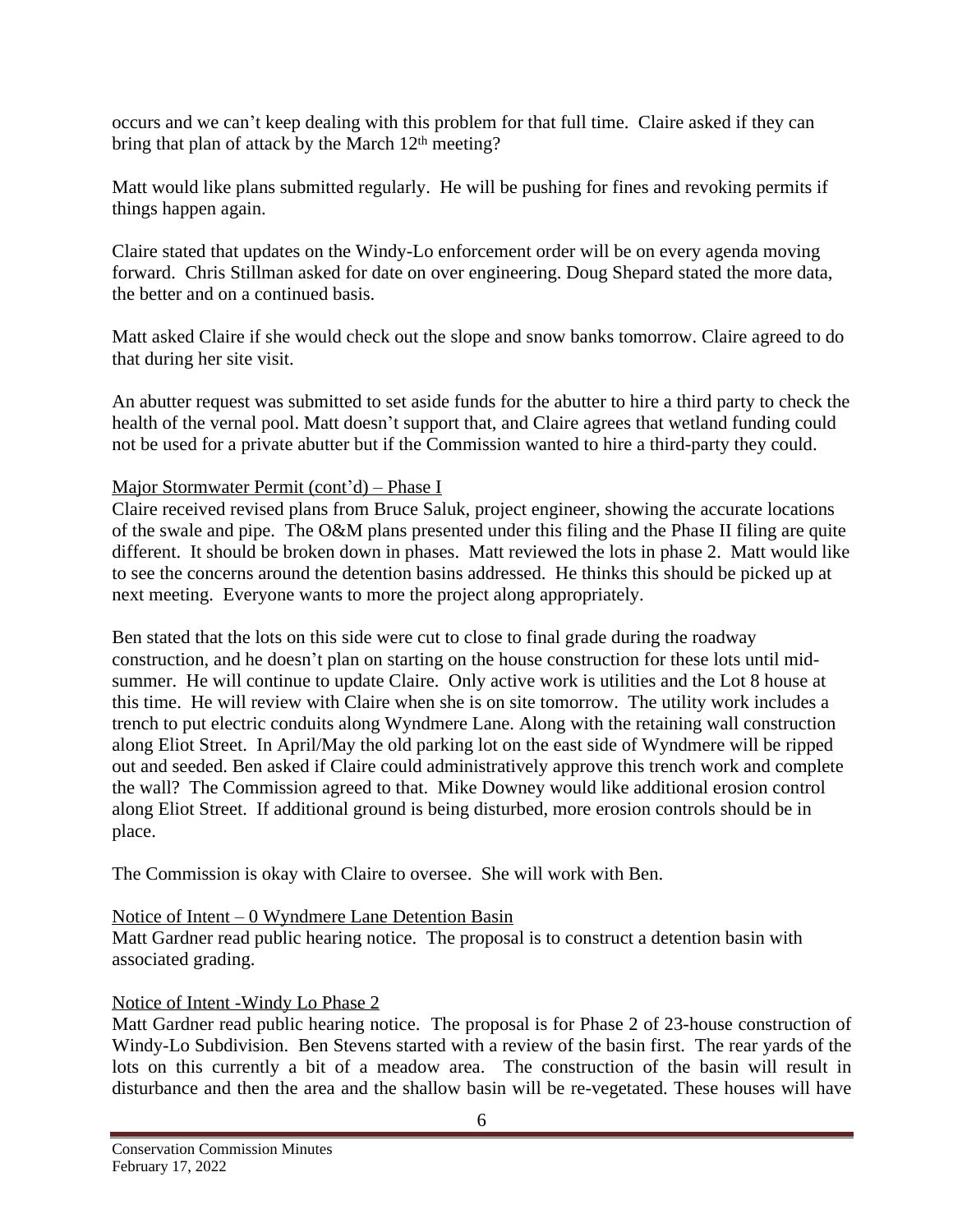occurs and we can't keep dealing with this problem for that full time. Claire asked if they can bring that plan of attack by the March  $12<sup>th</sup>$  meeting?

Matt would like plans submitted regularly. He will be pushing for fines and revoking permits if things happen again.

Claire stated that updates on the Windy-Lo enforcement order will be on every agenda moving forward. Chris Stillman asked for date on over engineering. Doug Shepard stated the more data, the better and on a continued basis.

Matt asked Claire if she would check out the slope and snow banks tomorrow. Claire agreed to do that during her site visit.

An abutter request was submitted to set aside funds for the abutter to hire a third party to check the health of the vernal pool. Matt doesn't support that, and Claire agrees that wetland funding could not be used for a private abutter but if the Commission wanted to hire a third-party they could.

## Major Stormwater Permit (cont'd) – Phase I

Claire received revised plans from Bruce Saluk, project engineer, showing the accurate locations of the swale and pipe. The O&M plans presented under this filing and the Phase II filing are quite different. It should be broken down in phases. Matt reviewed the lots in phase 2. Matt would like to see the concerns around the detention basins addressed. He thinks this should be picked up at next meeting. Everyone wants to more the project along appropriately.

Ben stated that the lots on this side were cut to close to final grade during the roadway construction, and he doesn't plan on starting on the house construction for these lots until midsummer. He will continue to update Claire. Only active work is utilities and the Lot 8 house at this time. He will review with Claire when she is on site tomorrow. The utility work includes a trench to put electric conduits along Wyndmere Lane. Along with the retaining wall construction along Eliot Street. In April/May the old parking lot on the east side of Wyndmere will be ripped out and seeded. Ben asked if Claire could administratively approve this trench work and complete the wall? The Commission agreed to that. Mike Downey would like additional erosion control along Eliot Street. If additional ground is being disturbed, more erosion controls should be in place.

The Commission is okay with Claire to oversee. She will work with Ben.

# Notice of Intent – 0 Wyndmere Lane Detention Basin

Matt Gardner read public hearing notice. The proposal is to construct a detention basin with associated grading.

# Notice of Intent -Windy Lo Phase 2

Matt Gardner read public hearing notice. The proposal is for Phase 2 of 23-house construction of Windy-Lo Subdivision. Ben Stevens started with a review of the basin first. The rear yards of the lots on this currently a bit of a meadow area. The construction of the basin will result in disturbance and then the area and the shallow basin will be re-vegetated. These houses will have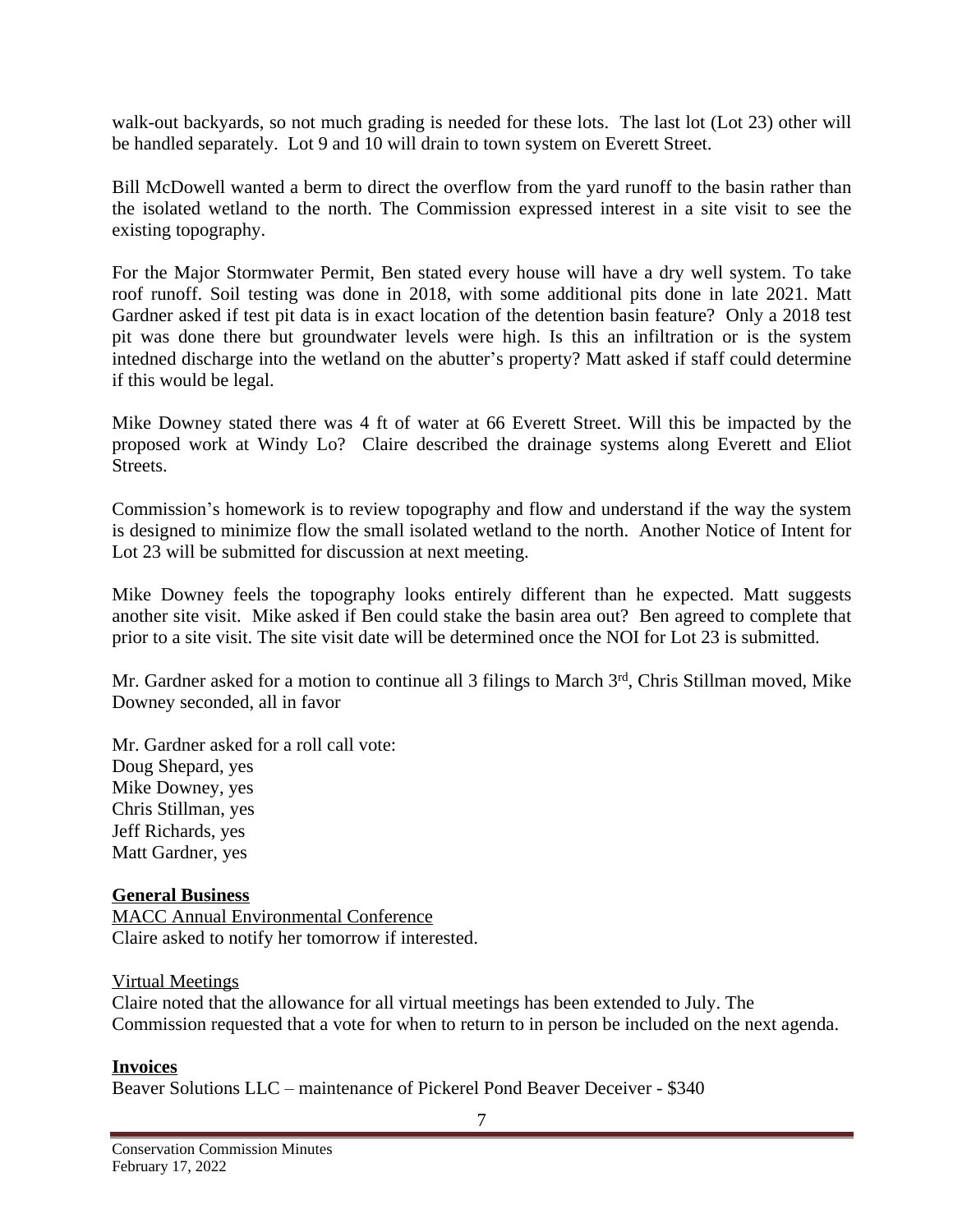walk-out backyards, so not much grading is needed for these lots. The last lot (Lot 23) other will be handled separately. Lot 9 and 10 will drain to town system on Everett Street.

Bill McDowell wanted a berm to direct the overflow from the yard runoff to the basin rather than the isolated wetland to the north. The Commission expressed interest in a site visit to see the existing topography.

For the Major Stormwater Permit, Ben stated every house will have a dry well system. To take roof runoff. Soil testing was done in 2018, with some additional pits done in late 2021. Matt Gardner asked if test pit data is in exact location of the detention basin feature? Only a 2018 test pit was done there but groundwater levels were high. Is this an infiltration or is the system intedned discharge into the wetland on the abutter's property? Matt asked if staff could determine if this would be legal.

Mike Downey stated there was 4 ft of water at 66 Everett Street. Will this be impacted by the proposed work at Windy Lo? Claire described the drainage systems along Everett and Eliot Streets.

Commission's homework is to review topography and flow and understand if the way the system is designed to minimize flow the small isolated wetland to the north. Another Notice of Intent for Lot 23 will be submitted for discussion at next meeting.

Mike Downey feels the topography looks entirely different than he expected. Matt suggests another site visit. Mike asked if Ben could stake the basin area out? Ben agreed to complete that prior to a site visit. The site visit date will be determined once the NOI for Lot 23 is submitted.

Mr. Gardner asked for a motion to continue all 3 filings to March 3rd, Chris Stillman moved, Mike Downey seconded, all in favor

Mr. Gardner asked for a roll call vote: Doug Shepard, yes Mike Downey, yes Chris Stillman, yes Jeff Richards, yes Matt Gardner, yes

#### **General Business**

MACC Annual Environmental Conference Claire asked to notify her tomorrow if interested.

#### Virtual Meetings

Claire noted that the allowance for all virtual meetings has been extended to July. The Commission requested that a vote for when to return to in person be included on the next agenda.

**Invoices** Beaver Solutions LLC – maintenance of Pickerel Pond Beaver Deceiver - \$340